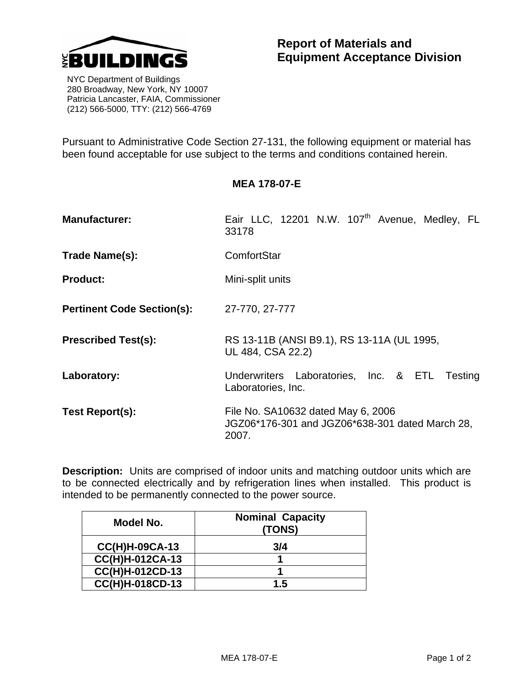

 NYC Department of Buildings 280 Broadway, New York, NY 10007 Patricia Lancaster, FAIA, Commissioner (212) 566-5000, TTY: (212) 566-4769

Pursuant to Administrative Code Section 27-131, the following equipment or material has been found acceptable for use subject to the terms and conditions contained herein.

## **MEA 178-07-E**

- **Manufacturer:** Eair LLC, 12201 N.W. 107<sup>th</sup> Avenue, Medley, FL 33178
- **Trade Name(s):** ComfortStar
- **Product:** Mini-split units
- **Pertinent Code Section(s):** 27-770, 27-777
- **Prescribed Test(s):** RS 13-11B (ANSI B9.1), RS 13-11A (UL 1995, UL 484, CSA 22.2)
- Laboratory: Underwriters Laboratories, Inc. & ETL Testing Laboratories, Inc.
- **Test Report(s):** File No. SA10632 dated May 6, 2006 JGZ06\*176-301 and JGZ06\*638-301 dated March 28, 2007.

**Description:** Units are comprised of indoor units and matching outdoor units which are to be connected electrically and by refrigeration lines when installed. This product is intended to be permanently connected to the power source.

| Model No.              | <b>Nominal Capacity</b><br>(TONS) |
|------------------------|-----------------------------------|
| $CC(H)H-09CA-13$       | 3/4                               |
| <b>CC(H)H-012CA-13</b> |                                   |
| CC(H)H-012CD-13        |                                   |
| CC(H)H-018CD-13        | 1.5                               |